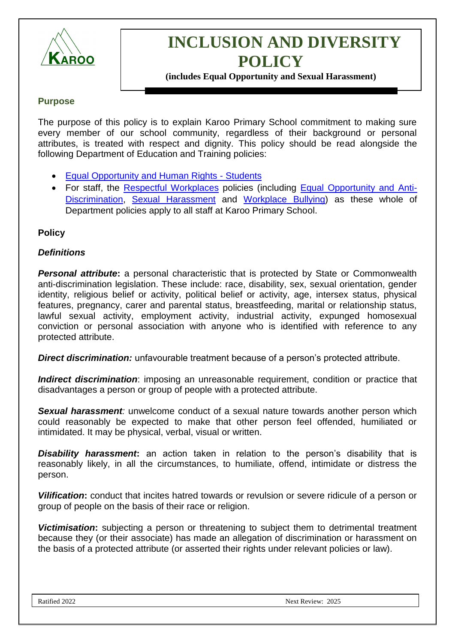

# **INCLUSION AND DIVERSITY POLICY**

**(includes Equal Opportunity and Sexual Harassment)**

### **Purpose**

The purpose of this policy is to explain Karoo Primary School commitment to making sure every member of our school community, regardless of their background or personal attributes, is treated with respect and dignity. This policy should be read alongside the following Department of Education and Training policies:

- [Equal Opportunity and Human Rights -](https://www2.education.vic.gov.au/pal/equal-opportunity-human-rights-students/policy) Students
- For staff, the [Respectful Workplaces](https://www2.education.vic.gov.au/pal/respectful-workplaces/overview) policies (including [Equal Opportunity and Anti-](https://www2.education.vic.gov.au/pal/equal-opportunity/overview)[Discrimination,](https://www2.education.vic.gov.au/pal/equal-opportunity/overview) [Sexual Harassment](https://www2.education.vic.gov.au/pal/sexual-harassment/overview) and [Workplace Bullying\)](https://www2.education.vic.gov.au/pal/workplace-bullying/policy) as these whole of Department policies apply to all staff at Karoo Primary School.

### **Policy**

### *Definitions*

**Personal attribute:** a personal characteristic that is protected by State or Commonwealth anti-discrimination legislation. These include: race, disability, sex, sexual orientation, gender identity, religious belief or activity, political belief or activity, age, intersex status, physical features, pregnancy, carer and parental status, breastfeeding, marital or relationship status, lawful sexual activity, employment activity, industrial activity, expunged homosexual conviction or personal association with anyone who is identified with reference to any protected attribute.

*Direct discrimination:* unfavourable treatment because of a person's protected attribute.

*Indirect discrimination*: imposing an unreasonable requirement, condition or practice that disadvantages a person or group of people with a protected attribute.

*Sexual harassment:* unwelcome conduct of a sexual nature towards another person which could reasonably be expected to make that other person feel offended, humiliated or intimidated. It may be physical, verbal, visual or written.

**Disability harassment:** an action taken in relation to the person's disability that is reasonably likely, in all the circumstances, to humiliate, offend, intimidate or distress the person.

*Vilification***:** conduct that incites hatred towards or revulsion or severe ridicule of a person or group of people on the basis of their race or religion.

**Victimisation:** subjecting a person or threatening to subject them to detrimental treatment because they (or their associate) has made an allegation of discrimination or harassment on the basis of a protected attribute (or asserted their rights under relevant policies or law).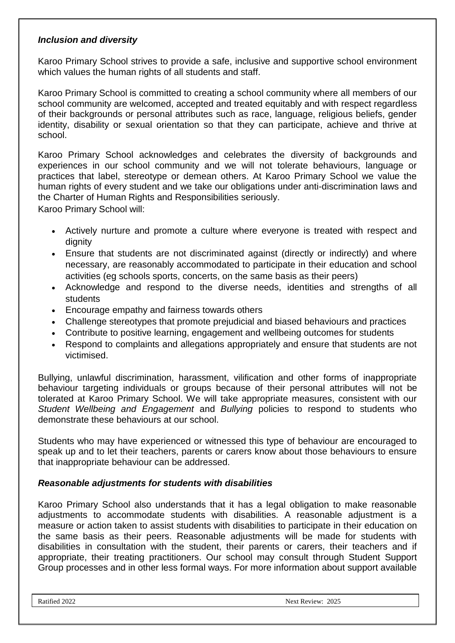### *Inclusion and diversity*

Karoo Primary School strives to provide a safe, inclusive and supportive school environment which values the human rights of all students and staff.

Karoo Primary School is committed to creating a school community where all members of our school community are welcomed, accepted and treated equitably and with respect regardless of their backgrounds or personal attributes such as race, language, religious beliefs, gender identity, disability or sexual orientation so that they can participate, achieve and thrive at school.

Karoo Primary School acknowledges and celebrates the diversity of backgrounds and experiences in our school community and we will not tolerate behaviours, language or practices that label, stereotype or demean others. At Karoo Primary School we value the human rights of every student and we take our obligations under anti-discrimination laws and the Charter of Human Rights and Responsibilities seriously.

Karoo Primary School will:

- Actively nurture and promote a culture where everyone is treated with respect and dignity
- Ensure that students are not discriminated against (directly or indirectly) and where necessary, are reasonably accommodated to participate in their education and school activities (eg schools sports, concerts, on the same basis as their peers)
- Acknowledge and respond to the diverse needs, identities and strengths of all students
- Encourage empathy and fairness towards others
- Challenge stereotypes that promote prejudicial and biased behaviours and practices
- Contribute to positive learning, engagement and wellbeing outcomes for students
- Respond to complaints and allegations appropriately and ensure that students are not victimised.

Bullying, unlawful discrimination, harassment, vilification and other forms of inappropriate behaviour targeting individuals or groups because of their personal attributes will not be tolerated at Karoo Primary School. We will take appropriate measures, consistent with our *Student Wellbeing and Engagement* and *Bullying* policies to respond to students who demonstrate these behaviours at our school.

Students who may have experienced or witnessed this type of behaviour are encouraged to speak up and to let their teachers, parents or carers know about those behaviours to ensure that inappropriate behaviour can be addressed.

#### *Reasonable adjustments for students with disabilities*

Karoo Primary School also understands that it has a legal obligation to make reasonable adjustments to accommodate students with disabilities. A reasonable adjustment is a measure or action taken to assist students with disabilities to participate in their education on the same basis as their peers. Reasonable adjustments will be made for students with disabilities in consultation with the student, their parents or carers, their teachers and if appropriate, their treating practitioners. Our school may consult through Student Support Group processes and in other less formal ways. For more information about support available